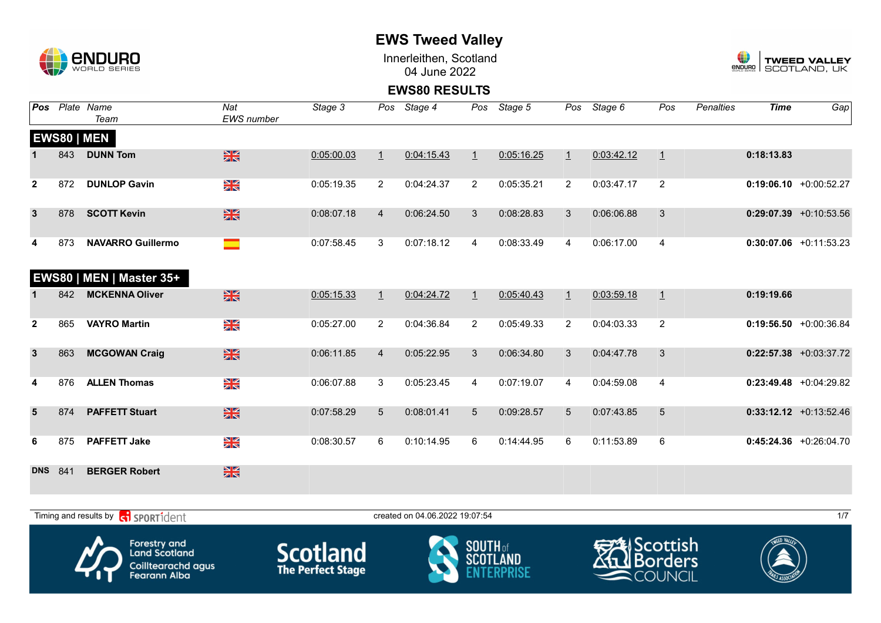

Innerleithen, Scotland 04 June 2022



**EWS80 RESULTS**

| Pos            |     | Plate Name<br>Team       | Nat<br><b>EWS</b> number | Stage 3    | Pos            | Stage 4    | Pos            | Stage 5    | Pos            | Stage 6    | Pos            | <b>Penalties</b> | <b>Time</b> | $\overline{Gap}$          |
|----------------|-----|--------------------------|--------------------------|------------|----------------|------------|----------------|------------|----------------|------------|----------------|------------------|-------------|---------------------------|
|                |     | <b>EWS80   MEN</b>       |                          |            |                |            |                |            |                |            |                |                  |             |                           |
|                | 843 | <b>DUNN Tom</b>          | $\frac{N}{N}$            | 0:05:00.03 | $\perp$        | 0:04:15.43 | $\perp$        | 0:05:16.25 | $\perp$        | 0:03:42.12 | $\overline{1}$ |                  | 0:18:13.83  |                           |
| $\overline{2}$ | 872 | <b>DUNLOP Gavin</b>      | N<br>X                   | 0:05:19.35 | $\overline{2}$ | 0:04:24.37 | $\overline{2}$ | 0:05:35.21 | $\overline{2}$ | 0:03:47.17 | $\overline{2}$ |                  |             | $0:19:06.10 + 0:00:52.27$ |
| $\mathbf{3}$   | 878 | <b>SCOTT Kevin</b>       | $\frac{N}{N}$            | 0:08:07.18 | $\overline{4}$ | 0:06:24.50 | 3              | 0:08:28.83 | 3              | 0:06:06.88 | 3              |                  |             | $0:29:07.39 +0:10:53.56$  |
| 4              | 873 | <b>NAVARRO Guillermo</b> | m.                       | 0:07:58.45 | 3              | 0:07:18.12 | $\overline{4}$ | 0:08:33.49 | $\overline{4}$ | 0:06:17.00 | $\overline{4}$ |                  |             | $0:30:07.06$ +0:11:53.23  |
|                |     | EWS80   MEN   Master 35+ |                          |            |                |            |                |            |                |            |                |                  |             |                           |
|                | 842 | <b>MCKENNA Oliver</b>    | $\frac{N}{N}$            | 0:05:15.33 | $\perp$        | 0:04:24.72 | $\perp$        | 0:05:40.43 | $\perp$        | 0:03:59.18 | $\overline{1}$ |                  | 0:19:19.66  |                           |
| $\mathbf{2}$   | 865 | <b>VAYRO Martin</b>      | NK<br>ZK                 | 0:05:27.00 | $\overline{2}$ | 0:04:36.84 | $\overline{2}$ | 0:05:49.33 | 2              | 0:04:03.33 | $\overline{2}$ |                  |             | $0:19:56.50 + 0:00:36.84$ |
| $\mathbf{3}$   | 863 | <b>MCGOWAN Craig</b>     | $\frac{N}{N}$            | 0:06:11.85 | $\overline{4}$ | 0:05:22.95 | $\mathbf{3}$   | 0:06:34.80 | 3              | 0:04:47.78 | 3              |                  |             | $0:22:57.38$ +0:03:37.72  |
| 4              | 876 | <b>ALLEN Thomas</b>      | NK<br>Ak                 | 0:06:07.88 | 3              | 0:05:23.45 | 4              | 0:07:19.07 | 4              | 0:04:59.08 | 4              |                  |             | $0:23:49.48$ +0:04:29.82  |
| $5\phantom{1}$ | 874 | <b>PAFFETT Stuart</b>    | $\frac{N}{N}$            | 0:07:58.29 | 5              | 0:08:01.41 | 5              | 0:09:28.57 | 5              | 0:07:43.85 | $\overline{5}$ |                  |             | $0:33:12.12$ +0:13:52.46  |
| 6              | 875 | <b>PAFFETT Jake</b>      | NK<br>ZK                 | 0:08:30.57 | 6              | 0:10:14.95 | 6              | 0:14:44.95 | 6              | 0:11:53.89 | $\,6\,$        |                  |             | $0:45:24.36$ +0:26:04.70  |
| <b>DNS</b>     | 841 | <b>BERGER Robert</b>     | $\frac{2}{3}$            |            |                |            |                |            |                |            |                |                  |             |                           |

 $T$ iming and results by  $\overline{c_1}$  SPORT1 $\overline{1}$  dentity that the created on 04.06.2022 19:07:54 1/7









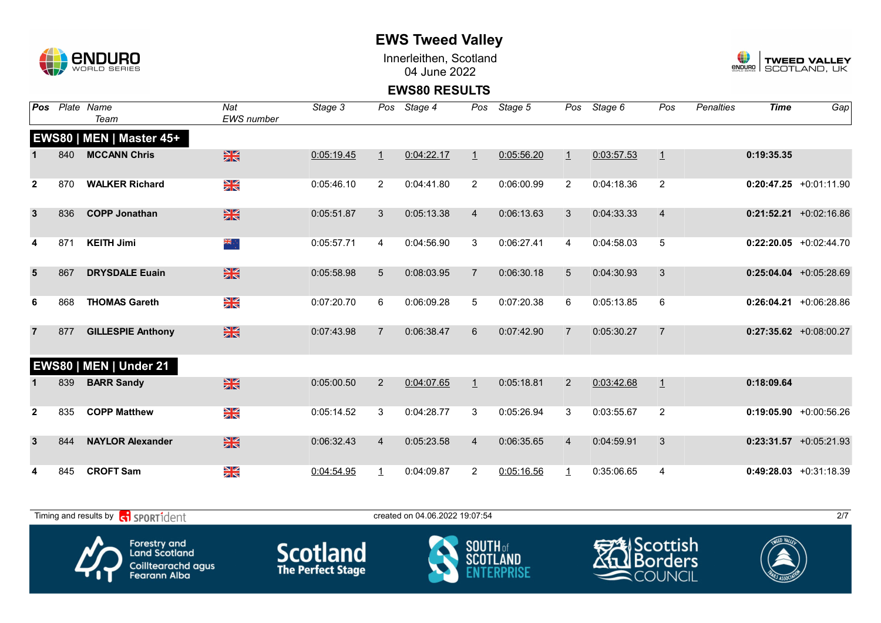

Innerleithen, Scotland 04 June 2022



**EWS80 RESULTS**

| Pos            |     | Plate Name<br>Team                                    | Nat<br><b>EWS</b> number | Stage 3    | Pos             | Stage 4                        | Pos            | Stage 5    | Pos            | Stage 6    | Pos            | <b>Penalties</b> | <b>Time</b> | Gap                       |
|----------------|-----|-------------------------------------------------------|--------------------------|------------|-----------------|--------------------------------|----------------|------------|----------------|------------|----------------|------------------|-------------|---------------------------|
|                |     | EWS80   MEN   Master 45+                              |                          |            |                 |                                |                |            |                |            |                |                  |             |                           |
|                | 840 | <b>MCCANN Chris</b>                                   | $\frac{N}{N}$            | 0:05:19.45 | $\perp$         | 0:04:22.17                     | $\overline{1}$ | 0:05:56.20 | $\perp$        | 0:03:57.53 | $\overline{1}$ |                  | 0:19:35.35  |                           |
| $\mathbf{2}$   | 870 | <b>WALKER Richard</b>                                 | XK<br>ZK                 | 0:05:46.10 | $\overline{2}$  | 0:04:41.80                     | $\overline{2}$ | 0:06:00.99 | $\overline{2}$ | 0:04:18.36 | $\overline{2}$ |                  |             | $0:20:47.25 +0:01:11.90$  |
| $\mathbf{3}$   | 836 | <b>COPP Jonathan</b>                                  | $\frac{N}{N}$            | 0:05:51.87 | 3               | 0:05:13.38                     | $\overline{4}$ | 0:06:13.63 | 3              | 0:04:33.33 | $\overline{4}$ |                  |             | $0:21:52.21$ +0:02:16.86  |
| 4              | 871 | <b>KEITH Jimi</b>                                     | ैं के                    | 0:05:57.71 | 4               | 0:04:56.90                     | 3              | 0:06:27.41 | 4              | 0:04:58.03 | $\sqrt{5}$     |                  |             | $0:22:20.05$ +0:02:44.70  |
| $5\phantom{1}$ | 867 | <b>DRYSDALE Euain</b>                                 | $\frac{N}{N}$            | 0:05:58.98 | $5\overline{)}$ | 0:08:03.95                     | $\overline{7}$ | 0:06:30.18 | 5              | 0:04:30.93 | 3              |                  |             | $0:25:04.04$ +0:05:28.69  |
| 6              | 868 | <b>THOMAS Gareth</b>                                  | NK<br>AR                 | 0:07:20.70 | 6               | 0:06:09.28                     | 5              | 0:07:20.38 | 6              | 0:05:13.85 | $\,6\,$        |                  |             | $0:26:04.21 + 0:06:28.86$ |
| $\overline{7}$ | 877 | <b>GILLESPIE Anthony</b>                              | $\frac{N}{N}$            | 0:07:43.98 | $\overline{7}$  | 0:06:38.47                     | 6              | 0:07:42.90 | $\overline{7}$ | 0:05:30.27 | $\overline{7}$ |                  |             | $0:27:35.62 +0.08:00.27$  |
|                |     | EWS80   MEN   Under 21                                |                          |            |                 |                                |                |            |                |            |                |                  |             |                           |
|                | 839 | <b>BARR Sandy</b>                                     | $\frac{N}{N}$            | 0:05:00.50 | $\overline{2}$  | 0:04:07.65                     | $\perp$        | 0:05:18.81 | $\overline{2}$ | 0:03:42.68 | $\overline{1}$ |                  | 0:18:09.64  |                           |
| $\overline{2}$ | 835 | <b>COPP Matthew</b>                                   | $\frac{\Delta}{\Delta}$  | 0:05:14.52 | 3               | 0:04:28.77                     | 3              | 0:05:26.94 | 3              | 0:03:55.67 | 2              |                  |             | $0:19:05.90 + 0:00:56.26$ |
| $\mathbf{3}$   | 844 | <b>NAYLOR Alexander</b>                               | $\frac{N}{N}$            | 0:06:32.43 | $\overline{4}$  | 0:05:23.58                     | $\overline{4}$ | 0:06:35.65 | $\overline{4}$ | 0:04:59.91 | 3              |                  |             | $0:23:31.57$ +0:05:21.93  |
| 4              | 845 | <b>CROFT Sam</b>                                      | NK<br>ZK                 | 0:04:54.95 | $\overline{1}$  | 0:04:09.87                     | 2              | 0:05:16.56 | $\mathbf{1}$   | 0:35:06.65 | 4              |                  |             | $0:49:28.03$ +0:31:18.39  |
|                |     | Timing and results by <b>contains the SPORT1</b> dent |                          |            |                 | created on 04.06.2022 19:07:54 |                |            |                |            |                |                  |             | 2/7                       |









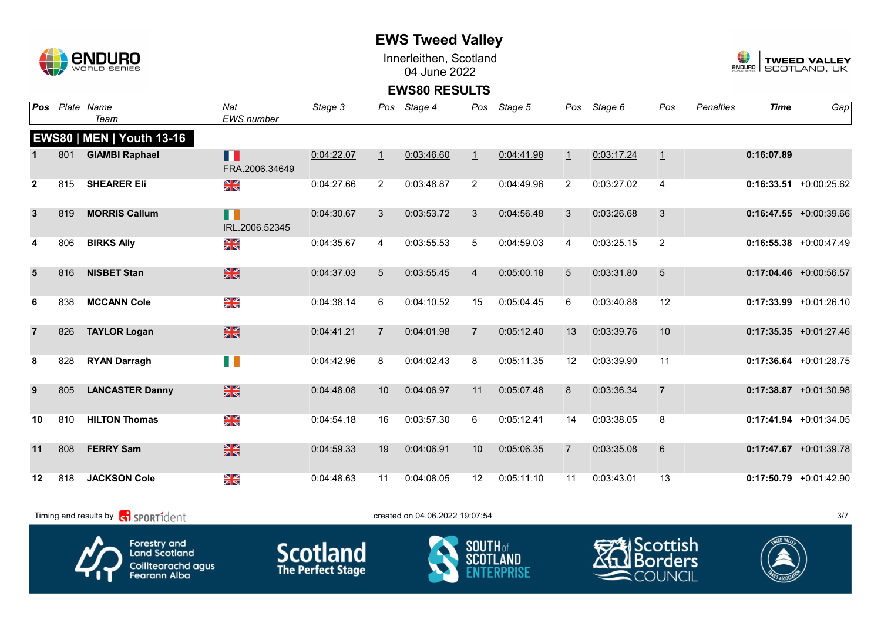

Innerleithen, Scotland 04 June 2022



#### **EWS80 RESULTS**

| <b>Pos</b>      |     | Plate Name<br>Team               | Nat<br><b>EWS</b> number | Stage 3    | Pos             | Stage 4    | Pos            | Stage 5    | Pos            | Stage 6    | Pos            | <b>Penalties</b> | <b>Time</b> | Gap                       |
|-----------------|-----|----------------------------------|--------------------------|------------|-----------------|------------|----------------|------------|----------------|------------|----------------|------------------|-------------|---------------------------|
|                 |     | <b>EWS80   MEN   Youth 13-16</b> |                          |            |                 |            |                |            |                |            |                |                  |             |                           |
|                 | 801 | <b>GIAMBI Raphael</b>            | П<br>FRA.2006.34649      | 0:04:22.07 | $\overline{1}$  | 0:03:46.60 | $\overline{1}$ | 0:04:41.98 | $\perp$        | 0:03:17.24 | $\overline{1}$ |                  | 0:16:07.89  |                           |
| $\mathbf{2}$    | 815 | <b>SHEARER Eli</b>               | XK<br>ZK                 | 0:04:27.66 | $\overline{2}$  | 0:03:48.87 | 2              | 0:04:49.96 | $\overline{2}$ | 0:03:27.02 | $\overline{4}$ |                  |             | $0:16:33.51$ +0:00:25.62  |
| $\mathbf{3}$    | 819 | <b>MORRIS Callum</b>             | n<br>IRL.2006.52345      | 0:04:30.67 | 3               | 0:03:53.72 | 3              | 0:04:56.48 | 3              | 0:03:26.68 | 3              |                  |             | $0:16:47.55 + 0:00:39.66$ |
| 4               | 806 | <b>BIRKS Ally</b>                | $\frac{\Delta}{\Delta}$  | 0:04:35.67 | 4               | 0:03:55.53 | 5              | 0:04:59.03 | 4              | 0:03:25.15 | $\overline{2}$ |                  |             | $0:16:55.38$ +0:00:47.49  |
| $5\overline{5}$ | 816 | <b>NISBET Stan</b>               | $\frac{N}{N}$            | 0:04:37.03 | $5\overline{)}$ | 0:03:55.45 | $\overline{4}$ | 0:05:00.18 | 5              | 0:03:31.80 | 5              |                  |             | $0:17:04.46$ +0:00:56.57  |
| 6               | 838 | <b>MCCANN Cole</b>               | NK<br>ZK                 | 0:04:38.14 | 6               | 0:04:10.52 | 15             | 0:05:04.45 | 6              | 0:03:40.88 | 12             |                  |             | $0:17:33.99$ +0:01:26.10  |
| $\overline{7}$  | 826 | <b>TAYLOR Logan</b>              | $\frac{N}{N}$            | 0:04:41.21 | $\overline{7}$  | 0:04:01.98 | $\overline{7}$ | 0:05:12.40 | 13             | 0:03:39.76 | 10             |                  |             | $0:17:35.35$ +0:01:27.46  |
| 8               | 828 | <b>RYAN Darragh</b>              | H II                     | 0:04:42.96 | 8               | 0:04:02.43 | 8              | 0:05:11.35 | 12             | 0:03:39.90 | 11             |                  |             | $0:17:36.64$ +0:01:28.75  |
| 9               | 805 | <b>LANCASTER Danny</b>           | $\frac{N}{N}$            | 0:04:48.08 | 10              | 0:04:06.97 | 11             | 0:05:07.48 | 8              | 0:03:36.34 | $\overline{7}$ |                  |             | $0:17:38.87$ +0:01:30.98  |
| 10              | 810 | <b>HILTON Thomas</b>             | N<br>Xk                  | 0:04:54.18 | 16              | 0:03:57.30 | 6              | 0:05:12.41 | 14             | 0:03:38.05 | 8              |                  |             | $0:17:41.94$ +0:01:34.05  |
| 11              | 808 | <b>FERRY Sam</b>                 | $\frac{N}{N}$            | 0:04:59.33 | 19              | 0:04:06.91 | 10             | 0:05:06.35 | $\overline{7}$ | 0:03:35.08 | 6              |                  |             | $0:17:47.67$ +0:01:39.78  |
| 12              | 818 | <b>JACKSON Cole</b>              | N<br>X                   | 0:04:48.63 | 11              | 0:04:08.05 | 12             | 0:05:11.10 | 11             | 0:03:43.01 | 13             |                  |             | $0:17:50.79$ +0:01:42.90  |

 $T$ iming and results by  $\overline{c_1}$  SPORT1 $\overline{d}$ ent  $\overline{a}$  3/7

**Scotland** 







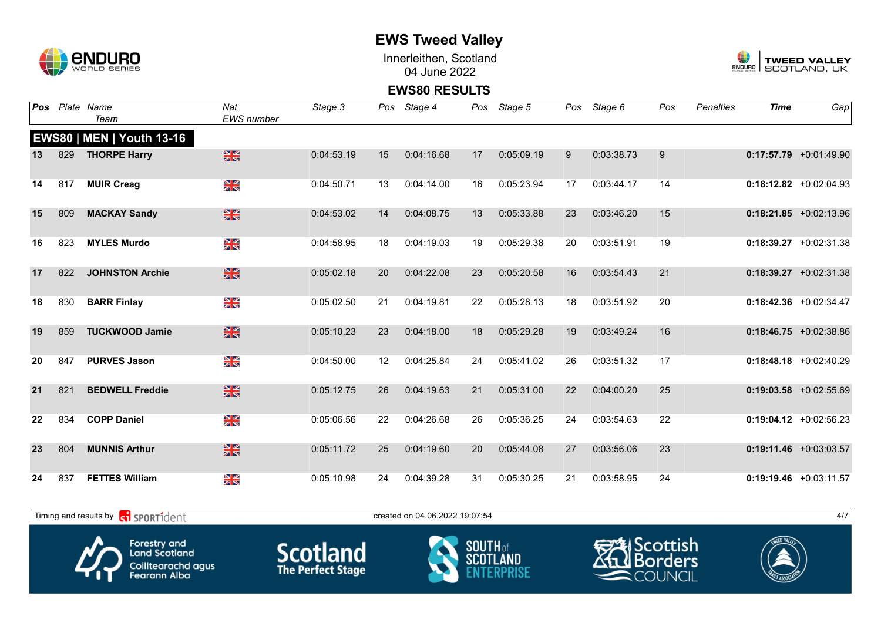

Innerleithen, Scotland 04 June 2022



**EWS80 RESULTS**

| Pos |     | Plate Name<br>Team                        | Nat<br><b>EWS</b> number | Stage 3    |    | Pos Stage 4                    | Pos | Stage 5    | Pos | Stage 6    | Pos | <b>Penalties</b> | <b>Time</b> | Gap                      |
|-----|-----|-------------------------------------------|--------------------------|------------|----|--------------------------------|-----|------------|-----|------------|-----|------------------|-------------|--------------------------|
|     |     | <b>EWS80   MEN   Youth 13-16</b>          |                          |            |    |                                |     |            |     |            |     |                  |             |                          |
| 13  | 829 | <b>THORPE Harry</b>                       | $\frac{N}{N}$            | 0:04:53.19 | 15 | 0:04:16.68                     | 17  | 0:05:09.19 | 9   | 0:03:38.73 | 9   |                  |             | $0:17:57.79$ +0:01:49.90 |
| 14  | 817 | <b>MUIR Creag</b>                         | NK<br>ZK                 | 0:04:50.71 | 13 | 0:04:14.00                     | 16  | 0:05:23.94 | 17  | 0:03:44.17 | 14  |                  |             | $0:18:12.82$ +0:02:04.93 |
| 15  | 809 | <b>MACKAY Sandy</b>                       | $\frac{N}{N}$            | 0:04:53.02 | 14 | 0:04:08.75                     | 13  | 0:05:33.88 | 23  | 0:03:46.20 | 15  |                  |             | $0:18:21.85$ +0:02:13.96 |
| 16  | 823 | <b>MYLES Murdo</b>                        | NK<br>ZK                 | 0:04:58.95 | 18 | 0:04:19.03                     | 19  | 0:05:29.38 | 20  | 0:03:51.91 | 19  |                  |             | $0:18:39.27$ +0:02:31.38 |
| 17  | 822 | <b>JOHNSTON Archie</b>                    | $\frac{N}{N}$            | 0:05:02.18 | 20 | 0:04:22.08                     | 23  | 0:05:20.58 | 16  | 0:03:54.43 | 21  |                  |             | $0:18:39.27$ +0:02:31.38 |
| 18  | 830 | <b>BARR Finlay</b>                        | $\frac{N}{N}$            | 0:05:02.50 | 21 | 0:04:19.81                     | 22  | 0:05:28.13 | 18  | 0:03:51.92 | 20  |                  |             | $0:18:42.36$ +0:02:34.47 |
| 19  | 859 | <b>TUCKWOOD Jamie</b>                     | $\frac{N}{N}$            | 0:05:10.23 | 23 | 0:04:18.00                     | 18  | 0:05:29.28 | 19  | 0:03:49.24 | 16  |                  |             | $0:18:46.75$ +0:02:38.86 |
| 20  | 847 | <b>PURVES Jason</b>                       | NK<br>AR                 | 0:04:50.00 | 12 | 0:04:25.84                     | 24  | 0:05:41.02 | 26  | 0:03:51.32 | 17  |                  |             | $0:18:48.18$ +0:02:40.29 |
| 21  | 821 | <b>BEDWELL Freddie</b>                    | $\frac{N}{N}$            | 0:05:12.75 | 26 | 0:04:19.63                     | 21  | 0:05:31.00 | 22  | 0:04:00.20 | 25  |                  |             | $0:19:03.58$ +0:02:55.69 |
| 22  | 834 | <b>COPP Daniel</b>                        | XK                       | 0:05:06.56 | 22 | 0:04:26.68                     | 26  | 0:05:36.25 | 24  | 0:03:54.63 | 22  |                  |             | $0:19:04.12$ +0:02:56.23 |
| 23  | 804 | <b>MUNNIS Arthur</b>                      | $\frac{N}{N}$            | 0:05:11.72 | 25 | 0:04:19.60                     | 20  | 0:05:44.08 | 27  | 0:03:56.06 | 23  |                  |             | $0:19:11.46$ +0:03:03.57 |
| 24  | 837 | <b>FETTES William</b>                     | NK<br>ZK                 | 0:05:10.98 | 24 | 0:04:39.28                     | 31  | 0:05:30.25 | 21  | 0:03:58.95 | 24  |                  |             | $0:19:19.46$ +0:03:11.57 |
|     |     | Timing and results by <b>G</b> SPORT1dent |                          |            |    | created on 04.06.2022 19:07:54 |     |            |     |            |     |                  |             | 4/7                      |









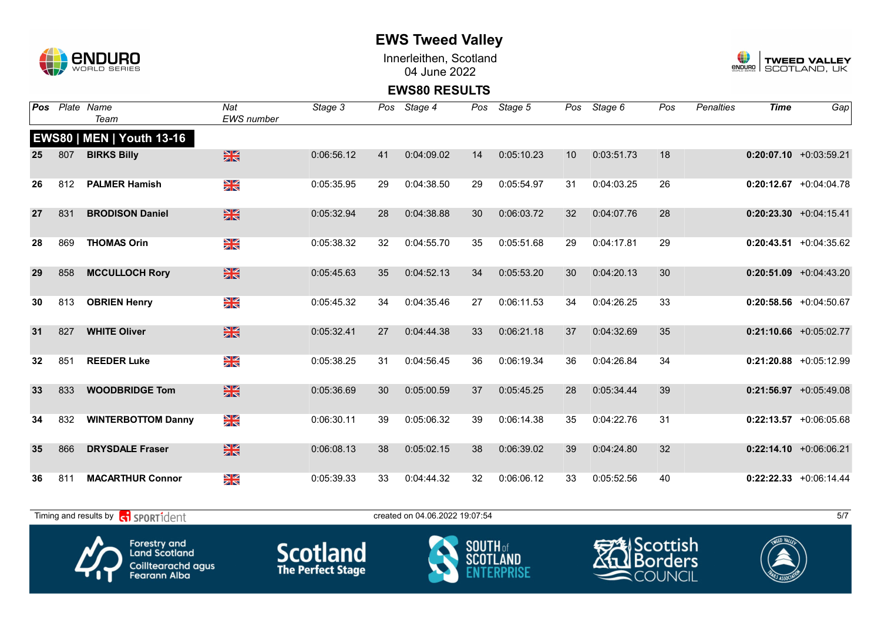

Innerleithen, Scotland 04 June 2022



**EWS80 RESULTS**

| Pos |     | Plate Name<br>Team                                                                              | Nat<br><b>EWS</b> number  | Stage 3                                     | Pos | Stage 4                        | Pos             | Stage 5         | Pos | Stage 6                                                          | Pos                            | <b>Penalties</b> | <b>Time</b> | Gap                       |
|-----|-----|-------------------------------------------------------------------------------------------------|---------------------------|---------------------------------------------|-----|--------------------------------|-----------------|-----------------|-----|------------------------------------------------------------------|--------------------------------|------------------|-------------|---------------------------|
|     |     | <b>EWS80   MEN   Youth 13-16</b>                                                                |                           |                                             |     |                                |                 |                 |     |                                                                  |                                |                  |             |                           |
| 25  | 807 | <b>BIRKS Billy</b>                                                                              | $\frac{N}{N}$             | 0:06:56.12                                  | 41  | 0:04:09.02                     | 14              | 0:05:10.23      | 10  | 0:03:51.73                                                       | 18                             |                  |             | $0:20:07.10$ +0:03:59.21  |
| 26  | 812 | <b>PALMER Hamish</b>                                                                            | $\frac{N}{N}$             | 0:05:35.95                                  | 29  | 0:04:38.50                     | 29              | 0:05:54.97      | 31  | 0:04:03.25                                                       | 26                             |                  |             | $0:20:12.67$ +0:04:04.78  |
| 27  | 831 | <b>BRODISON Daniel</b>                                                                          | $\frac{N}{N}$             | 0:05:32.94                                  | 28  | 0:04:38.88                     | 30              | 0:06:03.72      | 32  | 0:04:07.76                                                       | 28                             |                  |             | $0:20:23.30 +0:04:15.41$  |
| 28  | 869 | <b>THOMAS Orin</b>                                                                              | XK                        | 0:05:38.32                                  | 32  | 0:04:55.70                     | 35              | 0:05:51.68      | 29  | 0:04:17.81                                                       | 29                             |                  |             | $0:20:43.51 + 0:04:35.62$ |
| 29  | 858 | <b>MCCULLOCH Rory</b>                                                                           | $\frac{N}{N}$             | 0:05:45.63                                  | 35  | 0:04:52.13                     | 34              | 0:05:53.20      | 30  | 0:04:20.13                                                       | 30                             |                  |             | $0:20:51.09$ +0:04:43.20  |
| 30  | 813 | <b>OBRIEN Henry</b>                                                                             | XK<br>X                   | 0:05:45.32                                  | 34  | 0:04:35.46                     | 27              | 0:06:11.53      | 34  | 0:04:26.25                                                       | 33                             |                  |             | $0:20:58.56$ +0:04:50.67  |
| 31  | 827 | <b>WHITE Oliver</b>                                                                             | $\frac{N}{N}$             | 0:05:32.41                                  | 27  | 0:04:44.38                     | 33              | 0:06:21.18      | 37  | 0:04:32.69                                                       | 35                             |                  |             | $0:21:10.66$ +0:05:02.77  |
| 32  | 851 | <b>REEDER Luke</b>                                                                              | XK                        | 0:05:38.25                                  | 31  | 0:04:56.45                     | 36              | 0:06:19.34      | 36  | 0:04:26.84                                                       | 34                             |                  |             | $0:21:20.88$ +0:05:12.99  |
| 33  | 833 | <b>WOODBRIDGE Tom</b>                                                                           | XK                        | 0:05:36.69                                  | 30  | 0:05:00.59                     | 37              | 0:05:45.25      | 28  | 0:05:34.44                                                       | 39                             |                  |             | $0:21:56.97$ +0:05:49.08  |
| 34  | 832 | <b>WINTERBOTTOM Danny</b>                                                                       | XK                        | 0:06:30.11                                  | 39  | 0:05:06.32                     | 39              | 0:06:14.38      | 35  | 0:04:22.76                                                       | 31                             |                  |             | $0:22:13.57$ +0:06:05.68  |
| 35  | 866 | <b>DRYSDALE Fraser</b>                                                                          | $\frac{N}{N}$             | 0:06:08.13                                  | 38  | 0:05:02.15                     | 38              | 0:06:39.02      | 39  | 0:04:24.80                                                       | 32                             |                  |             | $0:22:14.10$ +0:06:06.21  |
| 36  | 811 | <b>MACARTHUR Connor</b>                                                                         | $\frac{\Delta Z}{\Delta}$ | 0:05:39.33                                  | 33  | 0:04:44.32                     | 32              | 0:06:06.12      | 33  | 0:05:52.56                                                       | 40                             |                  |             | $0:22:22.33$ +0:06:14.44  |
|     |     | Timing and results by <b>c</b> o <b>SPORT1</b> dent                                             |                           |                                             |     | created on 04.06.2022 19:07:54 |                 |                 |     |                                                                  |                                |                  |             | 5/7                       |
|     |     | <b>Forestry and</b><br><b>Land Scotland</b><br><b>Coilltearachd agus</b><br><b>Fearann Alba</b> |                           | <b>Scotland</b><br><b>The Perfect Stage</b> |     |                                | <b>SOUTH</b> of | <b>SCOTLAND</b> |     | <del>स्</del> त्र्व्या Scottish<br>∧1т<br>$\blacksquare$ COUNCIL | <i><u><b>I</b></u></i> Borders |                  |             |                           |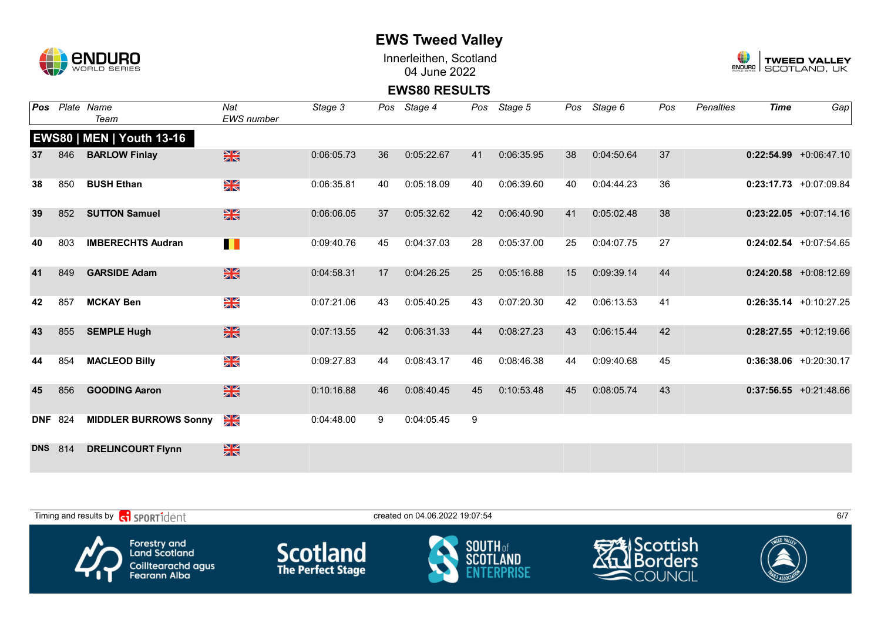

Innerleithen, Scotland 04 June 2022



**EWS80 RESULTS**

| Pos        |                | Plate Name                       | Nat               | Stage 3    | Pos | Stage 4    | Pos | Stage 5    | Pos | Stage 6    | Pos | <b>Penalties</b> | <b>Time</b> | Gap                      |
|------------|----------------|----------------------------------|-------------------|------------|-----|------------|-----|------------|-----|------------|-----|------------------|-------------|--------------------------|
|            |                | Team                             | <b>EWS</b> number |            |     |            |     |            |     |            |     |                  |             |                          |
|            |                | <b>EWS80   MEN   Youth 13-16</b> |                   |            |     |            |     |            |     |            |     |                  |             |                          |
| 37         | 846            | <b>BARLOW Finlay</b>             | $\frac{N}{N}$     | 0:06:05.73 | 36  | 0:05:22.67 | 41  | 0:06:35.95 | 38  | 0:04:50.64 | 37  |                  |             | $0:22:54.99$ +0:06:47.10 |
| 38         | 850            | <b>BUSH Ethan</b>                | XK<br>ZK          | 0:06:35.81 | 40  | 0:05:18.09 | 40  | 0:06:39.60 | 40  | 0:04:44.23 | 36  |                  |             | $0:23:17.73$ +0:07:09.84 |
| 39         | 852            | <b>SUTTON Samuel</b>             | $\frac{N}{N}$     | 0:06:06.05 | 37  | 0:05:32.62 | 42  | 0:06:40.90 | 41  | 0:05:02.48 | 38  |                  |             | $0:23:22.05$ +0:07:14.16 |
| 40         | 803            | <b>IMBERECHTS Audran</b>         | H                 | 0:09:40.76 | 45  | 0:04:37.03 | 28  | 0:05:37.00 | 25  | 0:04:07.75 | 27  |                  |             | $0:24:02.54$ +0:07:54.65 |
| 41         | 849            | <b>GARSIDE Adam</b>              | $\frac{N}{N}$     | 0:04:58.31 | 17  | 0:04:26.25 | 25  | 0:05:16.88 | 15  | 0:09:39.14 | 44  |                  |             | $0:24:20.58$ +0:08:12.69 |
| 42         | 857            | <b>MCKAY Ben</b>                 | XK<br>ZK          | 0:07:21.06 | 43  | 0:05:40.25 | 43  | 0:07:20.30 | 42  | 0:06:13.53 | 41  |                  |             | $0:26:35.14 +0:10:27.25$ |
| 43         | 855            | <b>SEMPLE Hugh</b>               | $\frac{N}{N}$     | 0:07:13.55 | 42  | 0:06:31.33 | 44  | 0:08:27.23 | 43  | 0:06:15.44 | 42  |                  |             | $0:28:27.55$ +0:12:19.66 |
| 44         | 854            | <b>MACLEOD Billy</b>             | N<br>ZK           | 0:09:27.83 | 44  | 0:08:43.17 | 46  | 0:08:46.38 | 44  | 0:09:40.68 | 45  |                  |             | $0:36:38.06$ +0:20:30.17 |
| 45         | 856            | <b>GOODING Aaron</b>             | $\frac{N}{N}$     | 0:10:16.88 | 46  | 0:08:40.45 | 45  | 0:10:53.48 | 45  | 0:08:05.74 | 43  |                  |             | $0:37:56.55$ +0:21:48.66 |
|            | <b>DNF 824</b> | <b>MIDDLER BURROWS Sonny</b>     | N<br>X            | 0:04:48.00 | 9   | 0:04:05.45 | 9   |            |     |            |     |                  |             |                          |
| <b>DNS</b> | 814            | <b>DRELINCOURT Flynn</b>         | $\frac{N}{N}$     |            |     |            |     |            |     |            |     |                  |             |                          |